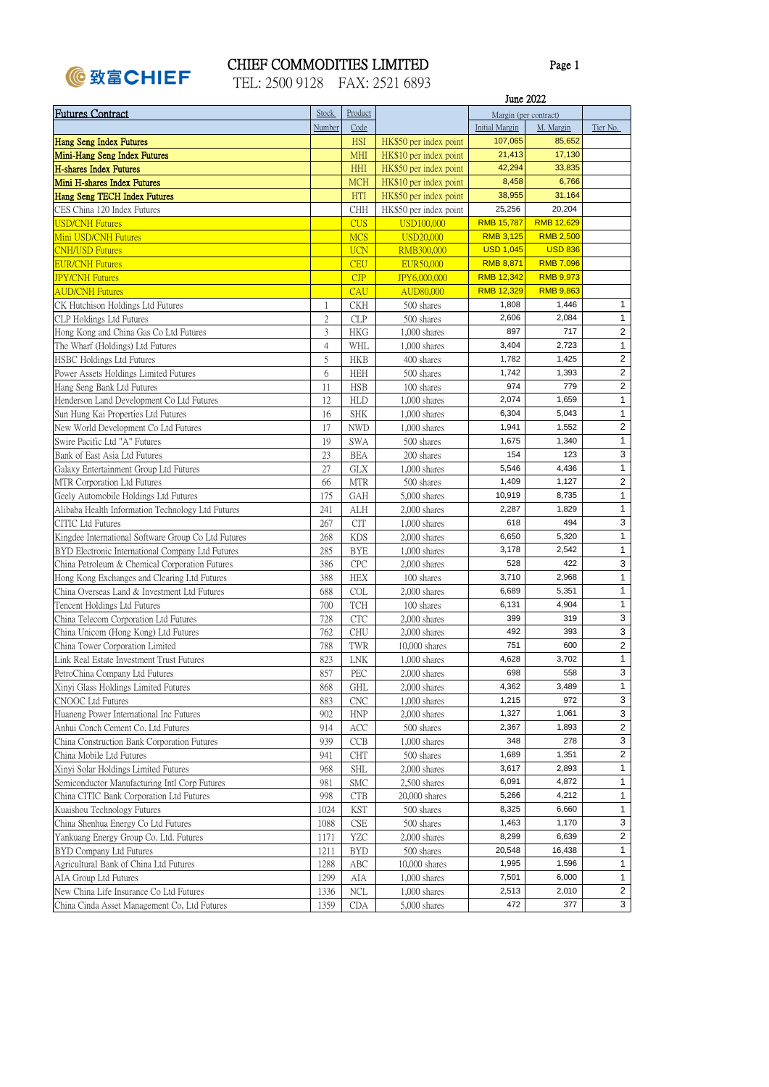

## CHIEF COMMODITIES LIMITED

Page 1

|  | TEL: 2500 9128 | FAX: 2521 6893 |  |
|--|----------------|----------------|--|
|  |                |                |  |

|                                                     |              |            |                        | June 2022             |                       |                         |
|-----------------------------------------------------|--------------|------------|------------------------|-----------------------|-----------------------|-------------------------|
| <b>Futures Contract</b>                             | <b>Stock</b> | Product    |                        |                       | Margin (per contract) |                         |
|                                                     | Number       | Code       |                        | <b>Initial Margin</b> | M. Margin             | Tier No.                |
| <b>Hang Seng Index Futures</b>                      |              | <b>HSI</b> | HK\$50 per index point | 107,065               | 85,652                |                         |
| Mini-Hang Seng Index Futures                        |              | <b>MHI</b> | HK\$10 per index point | 21,413                | 17,130                |                         |
| <b>H-shares Index Futures</b>                       |              | <b>HHI</b> | HK\$50 per index point | 42,294                | 33,835                |                         |
| Mini H-shares Index Futures                         |              | <b>MCH</b> | HK\$10 per index point | 8,458                 | 6,766                 |                         |
| Hang Seng TECH Index Futures                        |              | <b>HTI</b> | HK\$50 per index point | 38,955                | 31,164                |                         |
| CES China 120 Index Futures                         |              | <b>CHH</b> | HK\$50 per index point | 25,256                | 20,204                |                         |
| <b>USD/CNH Futures</b>                              |              | <b>CUS</b> | USD100,000             | <b>RMB 15,787</b>     | <b>RMB 12,629</b>     |                         |
| Mini USD/CNH Futures                                |              | <b>MCS</b> | <b>USD20,000</b>       | <b>RMB 3,125</b>      | <b>RMB 2,500</b>      |                         |
| <b>CNH/USD Futures</b>                              |              | <b>UCN</b> | RMB300,000             | <b>USD 1,045</b>      | <b>USD 836</b>        |                         |
| <b>EUR/CNH Futures</b>                              |              | <b>CEU</b> | EUR50,000              | <b>RMB 8,871</b>      | <b>RMB 7,096</b>      |                         |
| <b>JPY/CNH Futures</b>                              |              | CJP        | JPY6,000,000           | <b>RMB 12,342</b>     | <b>RMB 9,973</b>      |                         |
| <b>AUD/CNH Futures</b>                              |              | <b>CAU</b> | AUD80,000              | <b>RMB 12,329</b>     | <b>RMB 9,863</b>      |                         |
| CK Hutchison Holdings Ltd Futures                   | 1            | <b>CKH</b> | 500 shares             | 1,808                 | 1,446                 | $\mathbf{1}$            |
| CLP Holdings Ltd Futures                            | 2            | <b>CLP</b> | 500 shares             | 2,606                 | 2,084                 | $\mathbf{1}$            |
| Hong Kong and China Gas Co Ltd Futures              | 3            | HKG        | $1,000$ shares         | 897                   | 717                   | $\overline{2}$          |
| The Wharf (Holdings) Ltd Futures                    | 4            | WHL        | $1,000$ shares         | 3,404                 | 2,723                 | $\mathbf{1}$            |
| <b>HSBC Holdings Ltd Futures</b>                    | 5            | HKB        | 400 shares             | 1,782                 | 1,425                 | $\overline{2}$          |
| Power Assets Holdings Limited Futures               | 6            | HEH        | 500 shares             | 1,742                 | 1,393                 | 2                       |
| Hang Seng Bank Ltd Futures                          | 11           | <b>HSB</b> | 100 shares             | 974                   | 779                   | $\overline{2}$          |
| Henderson Land Development Co Ltd Futures           | 12           | <b>HLD</b> | $1,000$ shares         | 2,074                 | 1,659                 | $\mathbf{1}$            |
| Sun Hung Kai Properties Ltd Futures                 | 16           | <b>SHK</b> | $1,000$ shares         | 6,304                 | 5,043                 | 1                       |
| New World Development Co Ltd Futures                | 17           | <b>NWD</b> | $1,000$ shares         | 1,941                 | 1,552                 | $\overline{2}$          |
| Swire Pacific Ltd "A" Futures                       | 19           | <b>SWA</b> | 500 shares             | 1,675                 | 1,340                 | $\mathbf{1}$            |
| Bank of East Asia Ltd Futures                       | 23           | <b>BEA</b> | 200 shares             | 154                   | 123                   | 3                       |
| Galaxy Entertainment Group Ltd Futures              | 27           | <b>GLX</b> | $1,000$ shares         | 5,546                 | 4,436                 | $\mathbf{1}$            |
| MTR Corporation Ltd Futures                         | 66           | <b>MTR</b> | 500 shares             | 1,409                 | 1,127                 | $\overline{2}$          |
| Geely Automobile Holdings Ltd Futures               | 175          | <b>GAH</b> | 5,000 shares           | 10,919                | 8,735                 | $\mathbf{1}$            |
| Alibaba Health Information Technology Ltd Futures   | 241          | ALH        | 2,000 shares           | 2,287                 | 1,829                 | $\mathbf{1}$            |
| <b>CITIC Ltd Futures</b>                            | 267          | <b>CIT</b> | $1,000$ shares         | 618                   | 494                   | 3                       |
| Kingdee International Software Group Co Ltd Futures | 268          | <b>KDS</b> | $2,000$ shares         | 6,650                 | 5,320                 | $\mathbf{1}$            |
| BYD Electronic International Company Ltd Futures    | 285          | <b>BYE</b> | $1,000$ shares         | 3,178                 | 2,542                 | 1                       |
| China Petroleum & Chemical Corporation Futures      | 386          | <b>CPC</b> | 2,000 shares           | 528                   | 422                   | 3                       |
| Hong Kong Exchanges and Clearing Ltd Futures        | 388          | <b>HEX</b> | 100 shares             | 3,710                 | 2,968                 | $\mathbf{1}$            |
| China Overseas Land & Investment Ltd Futures        | 688          | <b>COL</b> | $2,000$ shares         | 6,689                 | 5,351                 | $\mathbf{1}$            |
| Tencent Holdings Ltd Futures                        | 700          | <b>TCH</b> | 100 shares             | 6,131                 | 4,904                 | 1                       |
| China Telecom Corporation Ltd Futures               | 728          | <b>CTC</b> | $2,000$ shares         | 399                   | 319                   | 3                       |
| China Unicom (Hong Kong) Ltd Futures                | 762          | <b>CHU</b> | 2,000 shares           | 492                   | 393                   | 3                       |
| China Tower Corporation Limited                     | 788          | TWR        | $10,000$ shares        | 751                   | 600                   | $\overline{\mathbf{c}}$ |
| Link Real Estate Investment Trust Futures           | 823          | <b>LNK</b> | $1,000$ shares         | 4,628                 | 3,702                 | $\mathbf{1}$            |
| PetroChina Company Ltd Futures                      | 857          | PEC        | $2,000$ shares         | 698                   | 558                   | 3                       |
| Xinyi Glass Holdings Limited Futures                | 868          | <b>GHL</b> | $2,000$ shares         | 4,362                 | 3,489                 | $\mathbf{1}$            |
| CNOOC Ltd Futures                                   | 883          | <b>CNC</b> | $1,000$ shares         | 1,215                 | 972                   | 3                       |
| Huaneng Power International Inc Futures             | 902          | <b>HNP</b> | 2,000 shares           | 1,327                 | 1,061                 | 3                       |
| Anhui Conch Cement Co. Ltd Futures                  | 914          | ACC        | 500 shares             | 2,367                 | 1,893                 | $\overline{2}$          |
| China Construction Bank Corporation Futures         | 939          | CCB        | $1,000$ shares         | 348                   | 278                   | 3                       |
| China Mobile Ltd Futures                            | 941          | <b>CHT</b> | 500 shares             | 1,689                 | 1,351                 | $\overline{2}$          |
| Xinyi Solar Holdings Limited Futures                | 968          | <b>SHL</b> | 2,000 shares           | 3,617                 | 2,893                 | $\mathbf{1}$            |
| Semiconductor Manufacturing Intl Corp Futures       | 981          | <b>SMC</b> | 2,500 shares           | 6,091                 | 4,872                 | $\mathbf{1}$            |
| China CITIC Bank Corporation Ltd Futures            | 998          | <b>CTB</b> | 20,000 shares          | 5,266                 | 4,212                 | $\mathbf{1}$            |
| Kuaishou Technology Futures                         | 1024         | <b>KST</b> | 500 shares             | 8,325                 | 6,660                 | $\mathbf{1}$            |
| China Shenhua Energy Co Ltd Futures                 | 1088         | CSE        | 500 shares             | 1,463                 | 1,170                 | 3                       |
| Yankuang Energy Group Co. Ltd. Futures              | 1171         | <b>YZC</b> | $2,000$ shares         | 8,299                 | 6,639                 | $\overline{2}$          |
| BYD Company Ltd Futures                             | 1211         | <b>BYD</b> | 500 shares             | 20,548                | 16,438                | $\mathbf{1}$            |
| Agricultural Bank of China Ltd Futures              | 1288         | ABC        | $10,000$ shares        | 1,995                 | 1,596                 | $\mathbf{1}$            |
| AIA Group Ltd Futures                               | 1299         | AIA        | $1,000$ shares         | 7,501                 | 6,000                 | $\mathbf{1}$            |
| New China Life Insurance Co Ltd Futures             | 1336         | <b>NCL</b> | $1,000$ shares         | 2,513                 | 2,010                 | $\overline{2}$          |
| China Cinda Asset Management Co, Ltd Futures        | 1359         | <b>CDA</b> | 5,000 shares           | 472                   | 377                   | 3                       |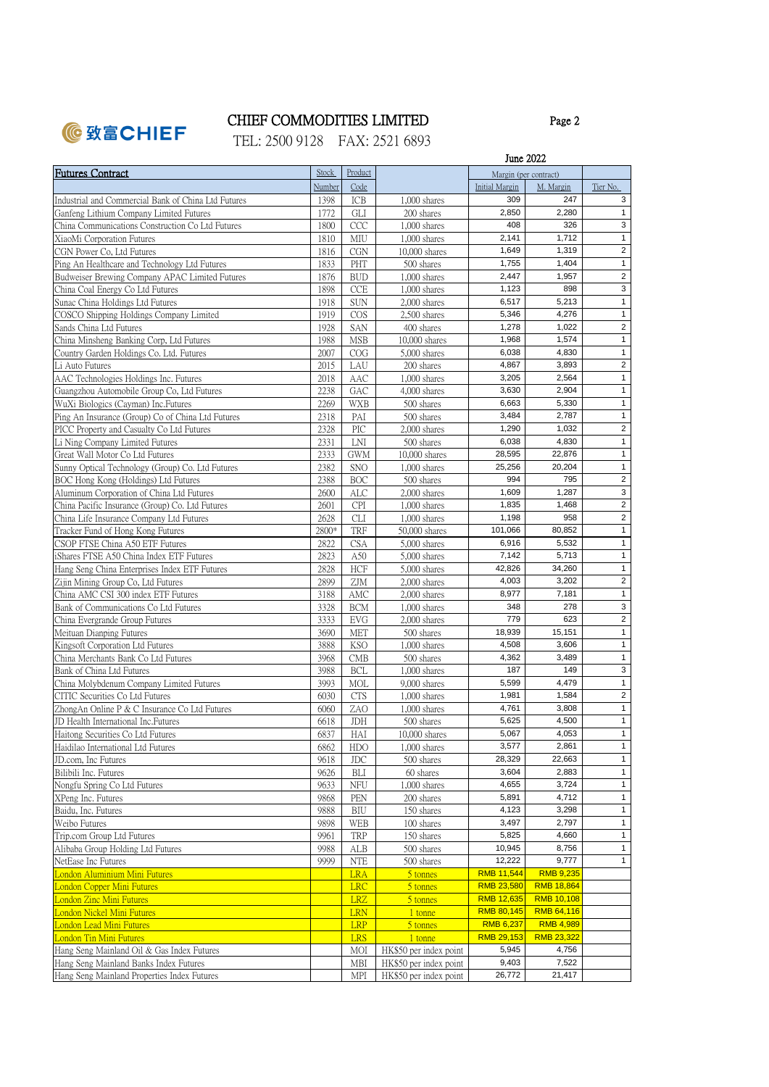

Page 2

TEL: 2500 9128 FAX: 2521 6893

|                                                                  |              |                   | June 2022                      |                       |                   |                         |
|------------------------------------------------------------------|--------------|-------------------|--------------------------------|-----------------------|-------------------|-------------------------|
| <b>Futures Contract</b>                                          | Stock        | Product           |                                | Margin (per contract) |                   |                         |
|                                                                  | Number       | Code              |                                | <b>Initial Margin</b> | M. Margin         | Tier No.                |
| Industrial and Commercial Bank of China Ltd Futures              | 1398         | ICB               | $1,000$ shares                 | 309                   | 247               | 3                       |
| Ganfeng Lithium Company Limited Futures                          | 1772         | GLI               | 200 shares                     | 2,850                 | 2,280             | $\mathbf{1}$            |
| China Communications Construction Co Ltd Futures                 | 1800         | CCC               | $1,000$ shares                 | 408                   | 326               | 3                       |
| XiaoMi Corporation Futures                                       | 1810         | MIU               | $1,000$ shares                 | 2,141                 | 1,712             | $\mathbf{1}$            |
| CGN Power Co, Ltd Futures                                        | 1816         | <b>CGN</b>        | $10,000$ shares                | 1,649                 | 1,319             | $\sqrt{2}$              |
| Ping An Healthcare and Technology Ltd Futures                    | 1833         | PHT               | 500 shares                     | 1,755                 | 1,404             | $\mathbf{1}$            |
| Budweiser Brewing Company APAC Limited Futures                   | 1876         | <b>BUD</b>        | $1,000$ shares                 | 2,447                 | 1,957             | $\overline{2}$          |
| China Coal Energy Co Ltd Futures                                 | 1898         | <b>CCE</b>        | $1,000$ shares                 | 1,123                 | 898               | $\sqrt{3}$              |
| Sunac China Holdings Ltd Futures                                 | 1918         | <b>SUN</b>        | $2,000$ shares                 | 6,517                 | 5,213             | $\mathbf{1}$            |
| COSCO Shipping Holdings Company Limited                          | 1919         | COS               | $2,500$ shares                 | 5,346                 | 4,276             | $\mathbf{1}$            |
| Sands China Ltd Futures                                          | 1928         | SAN               | 400 shares                     | 1,278                 | 1,022             | $\sqrt{2}$              |
| China Minsheng Banking Corp, Ltd Futures                         | 1988         | <b>MSB</b>        | $10,000$ shares                | 1,968                 | 1,574             | $\mathbf{1}$            |
| Country Garden Holdings Co. Ltd. Futures                         | 2007         | COG               | 5,000 shares                   | 6,038                 | 4,830             | $\mathbf{1}$            |
| Li Auto Futures                                                  | 2015         | LAU               | 200 shares                     | 4,867                 | 3,893             | $\sqrt{2}$              |
| AAC Technologies Holdings Inc. Futures                           | 2018         | AAC               | $1,000$ shares                 | 3,205                 | 2,564             | $\mathbf{1}$            |
| Guangzhou Automobile Group Co, Ltd Futures                       | 2238         | GAC               | 4,000 shares                   | 3,630                 | 2,904             | $\mathbf{1}$            |
| WuXi Biologics (Cayman) Inc. Futures                             | 2269         | WXB               | 500 shares                     | 6,663                 | 5,330             | $\mathbf{1}$            |
| Ping An Insurance (Group) Co of China Ltd Futures                | 2318         | PAI               | 500 shares                     | 3,484                 | 2,787             | $\mathbf{1}$            |
| PICC Property and Casualty Co Ltd Futures                        | 2328         | PIC               | $2,000$ shares                 | 1,290                 | 1,032             | $\overline{2}$          |
| Li Ning Company Limited Futures                                  | 2331         | LNI               | 500 shares                     | 6,038                 | 4,830             | $\mathbf{1}$            |
| Great Wall Motor Co Ltd Futures                                  | 2333         | <b>GWM</b>        | 10,000 shares                  | 28,595                | 22,876            | $\mathbf{1}$            |
| Sunny Optical Technology (Group) Co. Ltd Futures                 | 2382         | <b>SNO</b>        | $1,000$ shares                 | 25,256                | 20,204            | $\mathbf{1}$            |
| BOC Hong Kong (Holdings) Ltd Futures                             | 2388         | <b>BOC</b>        | 500 shares                     | 994                   | 795               | $\sqrt{2}$              |
| Aluminum Corporation of China Ltd Futures                        | 2600         | <b>ALC</b>        | $2,000$ shares                 | 1,609                 | 1,287             | $\sqrt{3}$              |
| China Pacific Insurance (Group) Co. Ltd Futures                  | 2601         | <b>CPI</b>        | 1,000 shares                   | 1,835                 | 1,468             | $\overline{\mathbf{2}}$ |
| China Life Insurance Company Ltd Futures                         | 2628         | <b>CLI</b>        | $1,000$ shares                 | 1,198                 | 958               | $\sqrt{2}$              |
| Tracker Fund of Hong Kong Futures                                | 2800*        | TRF               | 50,000 shares                  | 101,066               | 80,852            | $\mathbf{1}$            |
| CSOP FTSE China A50 ETF Futures                                  | 2822         | <b>CSA</b>        | 5,000 shares                   | 6,916                 | 5,532             | $\mathbf{1}$            |
| iShares FTSE A50 China Index ETF Futures                         | 2823         | A50               | 5,000 shares                   | 7,142                 | 5,713             | $\mathbf{1}$            |
| Hang Seng China Enterprises Index ETF Futures                    | 2828         | ${\rm HCF}$       | 5,000 shares                   | 42,826                | 34,260            | $\mathbf{1}$            |
| Zijin Mining Group Co, Ltd Futures                               | 2899         | ZJM               | 2,000 shares                   | 4,003                 | 3,202             | $\sqrt{2}$              |
| China AMC CSI 300 index ETF Futures                              | 3188         | AMC               | 2,000 shares                   | 8,977                 | 7,181             | $\mathbf{1}$            |
| Bank of Communications Co Ltd Futures                            | 3328         | <b>BCM</b>        | $1,000$ shares                 | 348                   | 278               | 3<br>$\sqrt{2}$         |
| China Evergrande Group Futures                                   | 3333         | EVG               | $2,000$ shares                 | 779<br>18,939         | 623               | $\mathbf{1}$            |
| Meituan Dianping Futures                                         | 3690         | <b>MET</b>        | 500 shares                     |                       | 15,151            | $\mathbf{1}$            |
| Kingsoft Corporation Ltd Futures                                 | 3888         | KSO               | $1,000$ shares                 | 4,508<br>4,362        | 3,606<br>3,489    | $\mathbf{1}$            |
| China Merchants Bank Co Ltd Futures<br>Bank of China Ltd Futures | 3968         | CMB               | 500 shares                     | 187                   | 149               | 3                       |
| China Molybdenum Company Limited Futures                         | 3988<br>3993 | <b>BCL</b><br>MOL | $1,000$ shares<br>9,000 shares | 5,599                 | 4,479             | $\mathbf{1}$            |
| CITIC Securities Co Ltd Futures                                  | 6030         | <b>CTS</b>        | $1,000$ shares                 | 1,981                 | 1,584             | $\overline{2}$          |
| ZhongAn Online P & C Insurance Co Ltd Futures                    | 6060         | ZAO               | $1,000$ shares                 | 4,761                 | 3,808             | $\mathbf{1}$            |
| JD Health International Inc.Futures                              | 6618         | JDH               | 500 shares                     | 5,625                 | 4,500             | $\mathbf{1}$            |
| Haitong Securities Co Ltd Futures                                | 6837         | HAI               | 10,000 shares                  | 5,067                 | 4,053             | $\mathbf{1}$            |
| Haidilao International Ltd Futures                               | 6862         | HDO               | $1,000$ shares                 | 3,577                 | 2,861             | $\mathbf{1}$            |
| JD.com, Inc Futures                                              | 9618         | JDC               | 500 shares                     | 28,329                | 22,663            | $\mathbf{1}$            |
| Bilibili Inc. Futures                                            | 9626         | BLI               | 60 shares                      | 3,604                 | 2,883             | $\mathbf{1}$            |
| Nongfu Spring Co Ltd Futures                                     | 9633         | NFU               | $1,000$ shares                 | 4,655                 | 3,724             | $\mathbf{1}$            |
| XPeng Inc. Futures                                               | 9868         | PEN               | 200 shares                     | 5,891                 | 4,712             | $\mathbf{1}$            |
| Baidu, Inc. Futures                                              | 9888         | BIU               | 150 shares                     | 4,123                 | 3,298             | $\mathbf{1}$            |
| Weibo Futures                                                    | 9898         | WEB               | 100 shares                     | 3,497                 | 2,797             | $\mathbf{1}$            |
| Trip.com Group Ltd Futures                                       | 9961         | TRP               | 150 shares                     | 5,825                 | 4,660             | $\mathbf{1}$            |
| Alibaba Group Holding Ltd Futures                                | 9988         | ALB               | 500 shares                     | 10,945                | 8,756             | $\mathbf{1}$            |
| NetEase Inc Futures                                              | 9999         | NTE               | 500 shares                     | 12,222                | 9,777             | $\mathbf{1}$            |
| London Aluminium Mini Futures                                    |              | <b>LRA</b>        | 5 tonnes                       | <b>RMB 11,544</b>     | <b>RMB 9,235</b>  |                         |
| <b>London Copper Mini Futures</b>                                |              | <b>LRC</b>        | 5 tonnes                       | <b>RMB 23,580</b>     | <b>RMB 18,864</b> |                         |
| London Zinc Mini Futures                                         |              | <b>LRZ</b>        | 5 tonnes                       | <b>RMB 12,635</b>     | <b>RMB 10,108</b> |                         |
| London Nickel Mini Futures                                       |              | <b>LRN</b>        | 1 tonne                        | <b>RMB 80,145</b>     | RMB 64,116        |                         |
| London Lead Mini Futures                                         |              | <b>LRP</b>        | 5 tonnes                       | <b>RMB 6,237</b>      | <b>RMB 4,989</b>  |                         |
| <b>London Tin Mini Futures</b>                                   |              | <b>LRS</b>        | 1 tonne                        | RMB 29,153            | RMB 23,322        |                         |
| Hang Seng Mainland Oil & Gas Index Futures                       |              | MOI               | HK\$50 per index point         | 5,945                 | 4,756             |                         |
| Hang Seng Mainland Banks Index Futures                           |              | <b>MBI</b>        | HK\$50 per index point         | 9,403                 | 7,522             |                         |
| Hang Seng Mainland Properties Index Futures                      |              | MPI               | HK\$50 per index point         | 26,772                | 21,417            |                         |